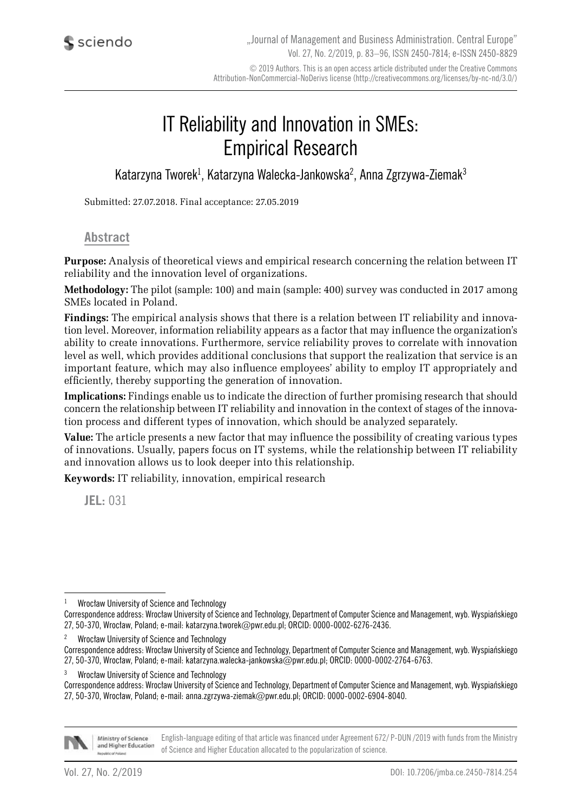# IT Reliability and Innovation in SMEs: Empirical Research

Katarzyna Tworek<sup>1</sup>, Katarzyna Walecka-Jankowska<sup>2</sup>, Anna Zgrzywa-Ziemak<sup>3</sup>

Submitted: 27.07.2018. Final acceptance: 27.05.2019

#### **Abstract**

**Purpose:** Analysis of theoretical views and empirical research concerning the relation between IT reliability and the innovation level of organizations.

**Methodology:** The pilot (sample: 100) and main (sample: 400) survey was conducted in 2017 among SMEs located in Poland.

**Findings:** The empirical analysis shows that there is a relation between IT reliability and innovation level. Moreover, information reliability appears as a factor that may influence the organization's ability to create innovations. Furthermore, service reliability proves to correlate with innovation level as well, which provides additional conclusions that support the realization that service is an important feature, which may also influence employees' ability to employ IT appropriately and efficiently, thereby supporting the generation of innovation.

**Implications:** Findings enable us to indicate the direction of further promising research that should concern the relationship between IT reliability and innovation in the context of stages of the innovation process and different types of innovation, which should be analyzed separately.

**Value:** The article presents a new factor that may influence the possibility of creating various types of innovations. Usually, papers focus on IT systems, while the relationship between IT reliability and innovation allows us to look deeper into this relationship.

**Keywords:** IT reliability, innovation, empirical research

**JEL:** 031

<sup>2</sup> Wrocław University of Science and Technology

<sup>3</sup> Wrocław University of Science and Technology

Correspondence address: Wrocław University of Science and Technology, Department of Computer Science and Management, wyb. Wyspiańskiego 27, 50-370, Wrocław, Poland; e-mail: anna.zgrzywa-ziemak@pwr.edu.pl; ORCID: 0000-0002-6904-8040.



English-language editing of that article was financed under Agreement 672/ P-DUN /2019 with funds from the Ministry Ministry of Science and Higher Education of Science and Higher Education allocated to the popularization of science.

<sup>1</sup> Wrocław University of Science and Technology

Correspondence address: Wrocław University of Science and Technology, Department of Computer Science and Management, wyb. Wyspiańskiego 27, 50-370, Wrocław, Poland; e-mail: katarzyna.tworek@pwr.edu.pl; ORCID: 0000-0002-6276-2436.

Correspondence address: Wrocław University of Science and Technology, Department of Computer Science and Management, wyb. Wyspiańskiego 27, 50-370, Wrocław, Poland; e-mail: katarzyna.walecka-jankowska@pwr.edu.pl; ORCID: 0000-0002-2764-6763.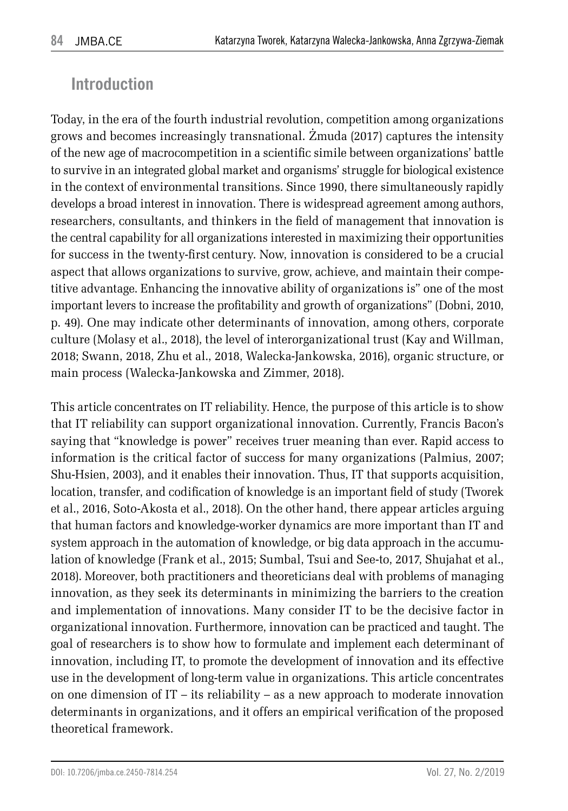# **Introduction**

Today, in the era of the fourth industrial revolution, competition among organizations grows and becomes increasingly transnational. Żmuda (2017) captures the intensity of the new age of macrocompetition in a scientific simile between organizations' battle to survive in an integrated global market and organisms' struggle for biological existence in the context of environmental transitions. Since 1990, there simultaneously rapidly develops a broad interest in innovation. There is widespread agreement among authors, researchers, consultants, and thinkers in the field of management that innovation is the central capability for all organizations interested in maximizing their opportunities for success in the twenty-first century. Now, innovation is considered to be a crucial aspect that allows organizations to survive, grow, achieve, and maintain their competitive advantage. Enhancing the innovative ability of organizations is" one of the most important levers to increase the profitability and growth of organizations" (Dobni, 2010, p. 49). One may indicate other determinants of innovation, among others, corporate culture (Molasy et al., 2018), the level of interorganizational trust (Kay and Willman, 2018; Swann, 2018, Zhu et al., 2018, Walecka-Jankowska, 2016), organic structure, or main process (Walecka-Jankowska and Zimmer, 2018).

This article concentrates on IT reliability. Hence, the purpose of this article is to show that IT reliability can support organizational innovation. Currently, Francis Bacon's saying that "knowledge is power" receives truer meaning than ever. Rapid access to information is the critical factor of success for many organizations (Palmius, 2007; Shu-Hsien, 2003), and it enables their innovation. Thus, IT that supports acquisition, location, transfer, and codification of knowledge is an important field of study (Tworek et al., 2016, Soto-Akosta et al., 2018). On the other hand, there appear articles arguing that human factors and knowledge-worker dynamics are more important than IT and system approach in the automation of knowledge, or big data approach in the accumulation of knowledge (Frank et al., 2015; Sumbal, Tsui and See-to, 2017, Shujahat et al., 2018). Moreover, both practitioners and theoreticians deal with problems of managing innovation, as they seek its determinants in minimizing the barriers to the creation and implementation of innovations. Many consider IT to be the decisive factor in organizational innovation. Furthermore, innovation can be practiced and taught. The goal of researchers is to show how to formulate and implement each determinant of innovation, including IT, to promote the development of innovation and its effective use in the development of long-term value in organizations. This article concentrates on one dimension of IT – its reliability – as a new approach to moderate innovation determinants in organizations, and it offers an empirical verification of the proposed theoretical framework.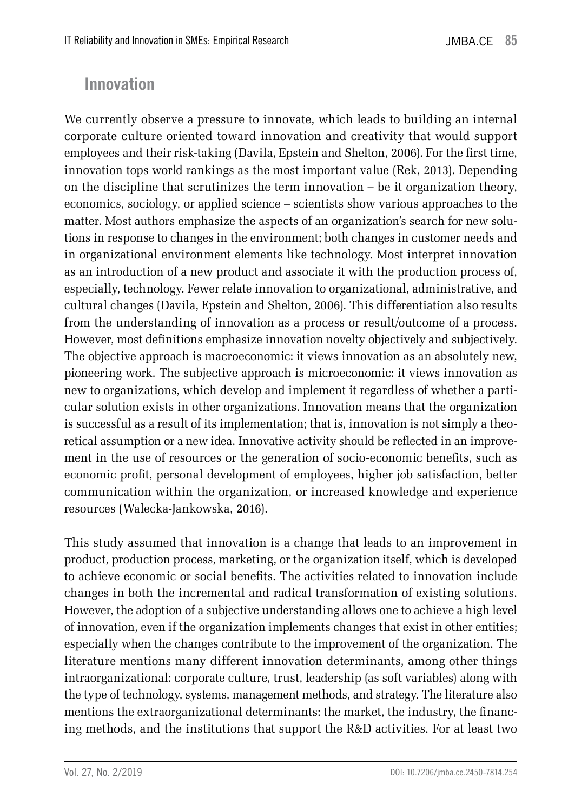### **Innovation**

We currently observe a pressure to innovate, which leads to building an internal corporate culture oriented toward innovation and creativity that would support employees and their risk-taking (Davila, Epstein and Shelton, 2006). For the first time, innovation tops world rankings as the most important value (Rek, 2013). Depending on the discipline that scrutinizes the term innovation – be it organization theory, economics, sociology, or applied science – scientists show various approaches to the matter. Most authors emphasize the aspects of an organization's search for new solutions in response to changes in the environment; both changes in customer needs and in organizational environment elements like technology. Most interpret innovation as an introduction of a new product and associate it with the production process of, especially, technology. Fewer relate innovation to organizational, administrative, and cultural changes (Davila, Epstein and Shelton, 2006). This differentiation also results from the understanding of innovation as a process or result/outcome of a process. However, most definitions emphasize innovation novelty objectively and subjectively. The objective approach is macroeconomic: it views innovation as an absolutely new, pioneering work. The subjective approach is microeconomic: it views innovation as new to organizations, which develop and implement it regardless of whether a particular solution exists in other organizations. Innovation means that the organization is successful as a result of its implementation; that is, innovation is not simply a theoretical assumption or a new idea. Innovative activity should be reflected in an improvement in the use of resources or the generation of socio-economic benefits, such as economic profit, personal development of employees, higher job satisfaction, better communication within the organization, or increased knowledge and experience resources (Walecka-Jankowska, 2016).

This study assumed that innovation is a change that leads to an improvement in product, production process, marketing, or the organization itself, which is developed to achieve economic or social benefits. The activities related to innovation include changes in both the incremental and radical transformation of existing solutions. However, the adoption of a subjective understanding allows one to achieve a high level of innovation, even if the organization implements changes that exist in other entities; especially when the changes contribute to the improvement of the organization. The literature mentions many different innovation determinants, among other things intraorganizational: corporate culture, trust, leadership (as soft variables) along with the type of technology, systems, management methods, and strategy. The literature also mentions the extraorganizational determinants: the market, the industry, the financing methods, and the institutions that support the R&D activities. For at least two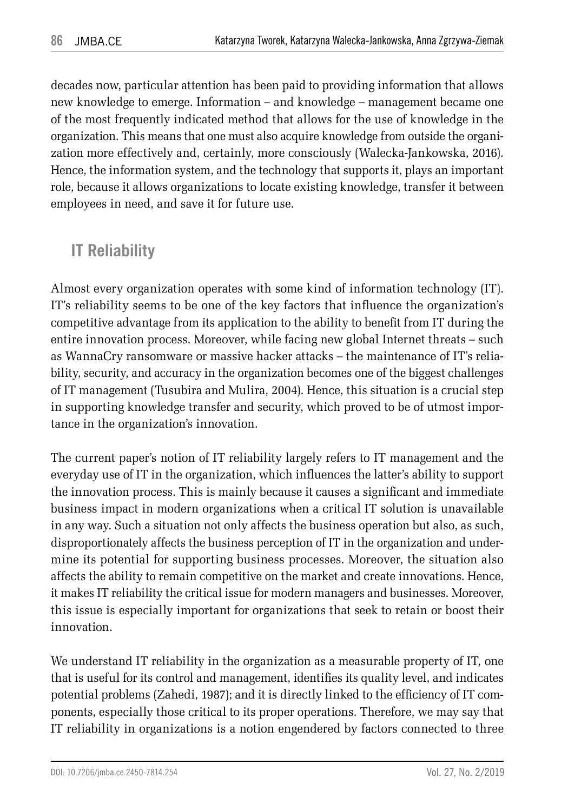decades now, particular attention has been paid to providing information that allows new knowledge to emerge. Information – and knowledge – management became one of the most frequently indicated method that allows for the use of knowledge in the organization. This means that one must also acquire knowledge from outside the organization more effectively and, certainly, more consciously (Walecka-Jankowska, 2016). Hence, the information system, and the technology that supports it, plays an important role, because it allows organizations to locate existing knowledge, transfer it between employees in need, and save it for future use.

# **IT Reliability**

Almost every organization operates with some kind of information technology (IT). IT's reliability seems to be one of the key factors that influence the organization's competitive advantage from its application to the ability to benefit from IT during the entire innovation process. Moreover, while facing new global Internet threats – such as WannaCry ransomware or massive hacker attacks – the maintenance of IT's reliability, security, and accuracy in the organization becomes one of the biggest challenges of IT management (Tusubira and Mulira, 2004). Hence, this situation is a crucial step in supporting knowledge transfer and security, which proved to be of utmost importance in the organization's innovation.

The current paper's notion of IT reliability largely refers to IT management and the everyday use of IT in the organization, which influences the latter's ability to support the innovation process. This is mainly because it causes a significant and immediate business impact in modern organizations when a critical IT solution is unavailable in any way. Such a situation not only affects the business operation but also, as such, disproportionately affects the business perception of IT in the organization and undermine its potential for supporting business processes. Moreover, the situation also affects the ability to remain competitive on the market and create innovations. Hence, it makes IT reliability the critical issue for modern managers and businesses. Moreover, this issue is especially important for organizations that seek to retain or boost their innovation.

We understand IT reliability in the organization as a measurable property of IT, one that is useful for its control and management, identifies its quality level, and indicates potential problems (Zahedi, 1987); and it is directly linked to the efficiency of IT components, especially those critical to its proper operations. Therefore, we may say that IT reliability in organizations is a notion engendered by factors connected to three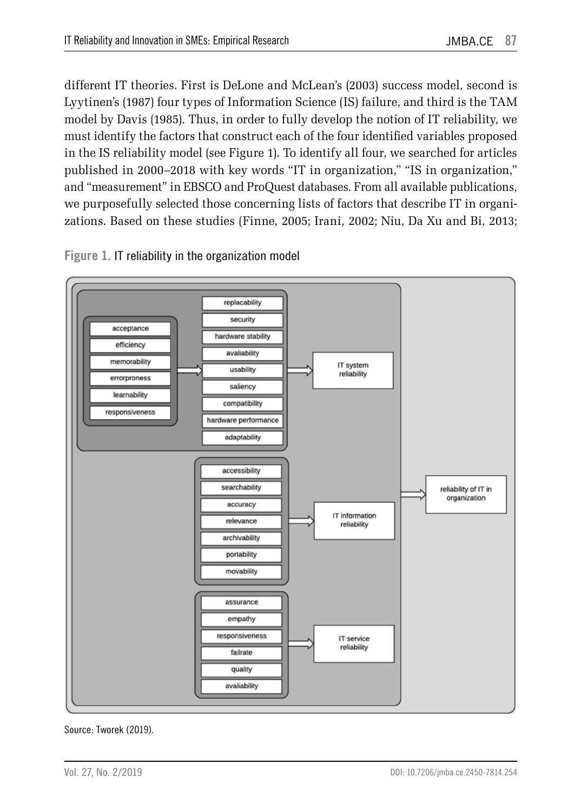different IT theories. First is DeLone and McLean's (2003) success model, second is Lyytinen's (1987) four types of Information Science (IS) failure, and third is the TAM model by Davis (1985). Thus, in order to fully develop the notion of IT reliability, we must identify the factors that construct each of the four identified variables proposed in the IS reliability model (see Figure 1). To identify all four, we searched for articles published in 2000–2018 with key words "IT in organization," "IS in organization," and "measurement" in EBSCO and ProQuest databases. From all available publications, we purposefully selected those concerning lists of factors that describe IT in organizations. Based on these studies (Finne, 2005; Irani, 2002; Niu, Da Xu and Bi, 2013;



**Figure 1.** IT reliability in the organization model

Source: Tworek (2019).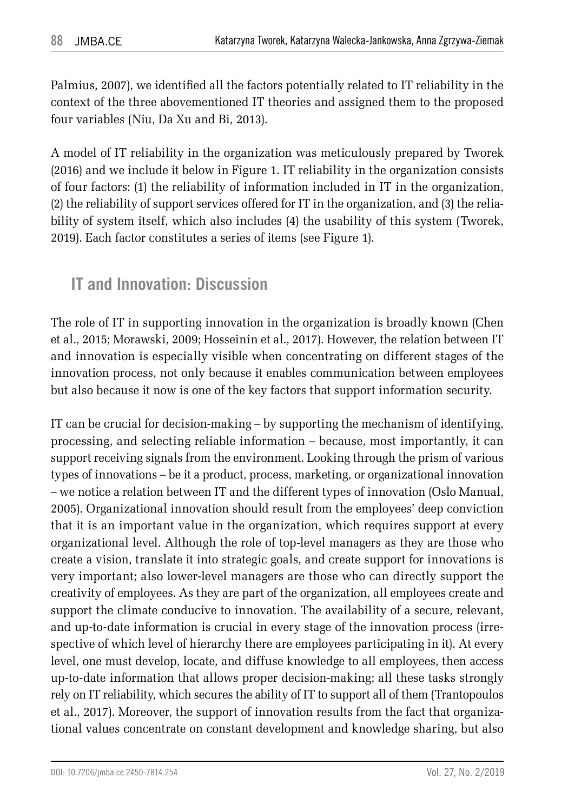Palmius, 2007), we identified all the factors potentially related to IT reliability in the context of the three abovementioned IT theories and assigned them to the proposed four variables (Niu, Da Xu and Bi, 2013).

A model of IT reliability in the organization was meticulously prepared by Tworek (2016) and we include it below in Figure 1. IT reliability in the organization consists of four factors: (1) the reliability of information included in IT in the organization, (2) the reliability of support services offered for IT in the organization, and (3) the reliability of system itself, which also includes (4) the usability of this system (Tworek, 2019). Each factor constitutes a series of items (see Figure 1).

### **IT and Innovation: Discussion**

The role of IT in supporting innovation in the organization is broadly known (Chen et al., 2015; Morawski, 2009; Hosseinin et al., 2017). However, the relation between IT and innovation is especially visible when concentrating on different stages of the innovation process, not only because it enables communication between employees but also because it now is one of the key factors that support information security.

IT can be crucial for decision-making – by supporting the mechanism of identifying, processing, and selecting reliable information – because, most importantly, it can support receiving signals from the environment. Looking through the prism of various types of innovations – be it a product, process, marketing, or organizational innovation – we notice a relation between IT and the different types of innovation (Oslo Manual, 2005). Organizational innovation should result from the employees' deep conviction that it is an important value in the organization, which requires support at every organizational level. Although the role of top-level managers as they are those who create a vision, translate it into strategic goals, and create support for innovations is very important; also lower-level managers are those who can directly support the creativity of employees. As they are part of the organization, all employees create and support the climate conducive to innovation. The availability of a secure, relevant, and up-to-date information is crucial in every stage of the innovation process (irrespective of which level of hierarchy there are employees participating in it). At every level, one must develop, locate, and diffuse knowledge to all employees, then access up-to-date information that allows proper decision-making; all these tasks strongly rely on IT reliability, which secures the ability of IT to support all of them (Trantopoulos et al., 2017). Moreover, the support of innovation results from the fact that organizational values concentrate on constant development and knowledge sharing, but also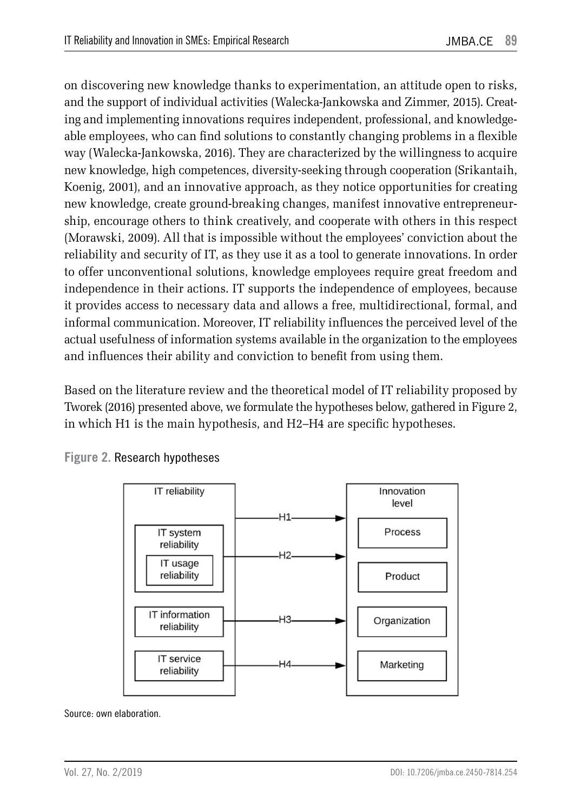on discovering new knowledge thanks to experimentation, an attitude open to risks, and the support of individual activities (Walecka-Jankowska and Zimmer, 2015). Creating and implementing innovations requires independent, professional, and knowledgeable employees, who can find solutions to constantly changing problems in a flexible way (Walecka-Jankowska, 2016). They are characterized by the willingness to acquire new knowledge, high competences, diversity-seeking through cooperation (Srikantaih, Koenig, 2001), and an innovative approach, as they notice opportunities for creating new knowledge, create ground-breaking changes, manifest innovative entrepreneurship, encourage others to think creatively, and cooperate with others in this respect (Morawski, 2009). All that is impossible without the employees' conviction about the reliability and security of IT, as they use it as a tool to generate innovations. In order to offer unconventional solutions, knowledge employees require great freedom and independence in their actions. IT supports the independence of employees, because it provides access to necessary data and allows a free, multidirectional, formal, and informal communication. Moreover, IT reliability influences the perceived level of the actual usefulness of information systems available in the organization to the employees and influences their ability and conviction to benefit from using them.

Based on the literature review and the theoretical model of IT reliability proposed by Tworek (2016) presented above, we formulate the hypotheses below, gathered in Figure 2, in which H1 is the main hypothesis, and H2–H4 are specific hypotheses.



**Figure 2.** Research hypotheses

Source: own elaboration.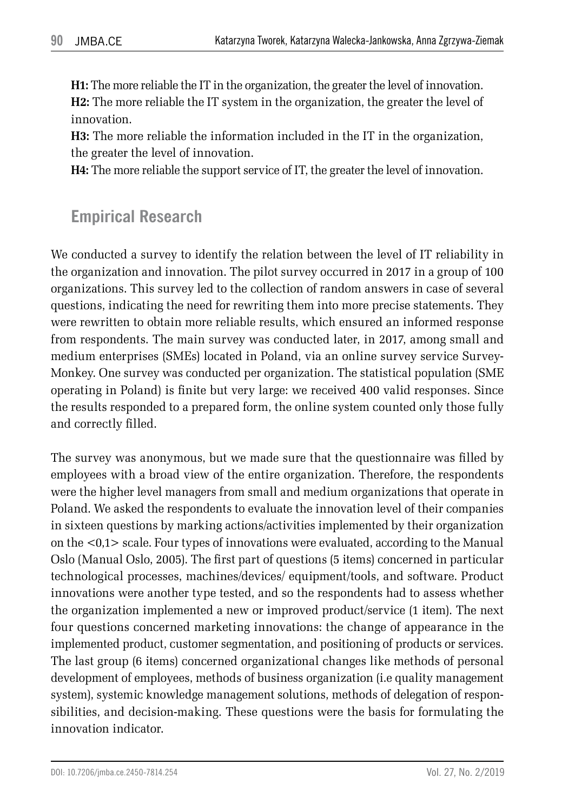**H1:** The more reliable the IT in the organization, the greater the level of innovation. **H2:** The more reliable the IT system in the organization, the greater the level of innovation.

**H3:** The more reliable the information included in the IT in the organization, the greater the level of innovation.

**H4:** The more reliable the support service of IT, the greater the level of innovation.

### **Empirical Research**

We conducted a survey to identify the relation between the level of IT reliability in the organization and innovation. The pilot survey occurred in 2017 in a group of 100 organizations. This survey led to the collection of random answers in case of several questions, indicating the need for rewriting them into more precise statements. They were rewritten to obtain more reliable results, which ensured an informed response from respondents. The main survey was conducted later, in 2017, among small and medium enterprises (SMEs) located in Poland, via an online survey service Survey-Monkey. One survey was conducted per organization. The statistical population (SME operating in Poland) is finite but very large: we received 400 valid responses. Since the results responded to a prepared form, the online system counted only those fully and correctly filled.

The survey was anonymous, but we made sure that the questionnaire was filled by employees with a broad view of the entire organization. Therefore, the respondents were the higher level managers from small and medium organizations that operate in Poland. We asked the respondents to evaluate the innovation level of their companies in sixteen questions by marking actions/activities implemented by their organization on the <0,1> scale. Four types of innovations were evaluated, according to the Manual Oslo (Manual Oslo, 2005). The first part of questions (5 items) concerned in particular technological processes, machines/devices/ equipment/tools, and software. Product innovations were another type tested, and so the respondents had to assess whether the organization implemented a new or improved product/service (1 item). The next four questions concerned marketing innovations: the change of appearance in the implemented product, customer segmentation, and positioning of products or services. The last group (6 items) concerned organizational changes like methods of personal development of employees, methods of business organization (i.e quality management system), systemic knowledge management solutions, methods of delegation of responsibilities, and decision-making. These questions were the basis for formulating the innovation indicator.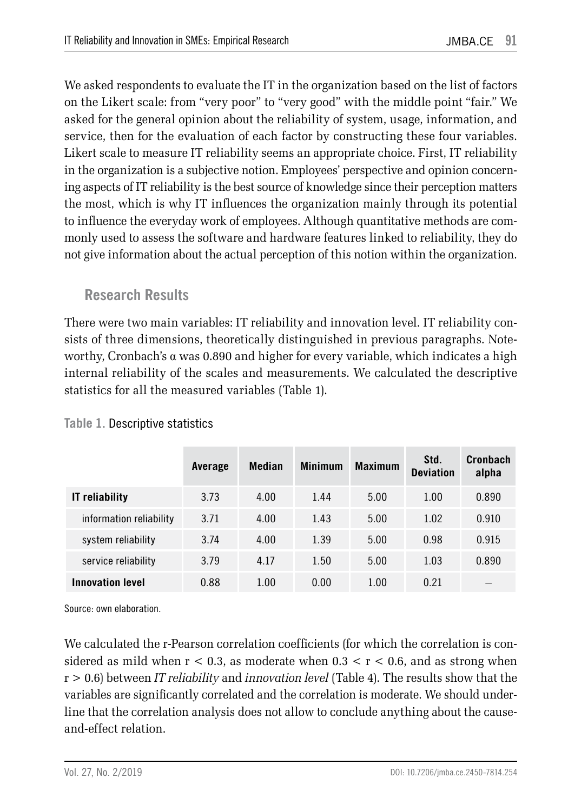We asked respondents to evaluate the IT in the organization based on the list of factors on the Likert scale: from "very poor" to "very good" with the middle point "fair." We asked for the general opinion about the reliability of system, usage, information, and service, then for the evaluation of each factor by constructing these four variables. Likert scale to measure IT reliability seems an appropriate choice. First, IT reliability in the organization is a subjective notion. Employees' perspective and opinion concerning aspects of IT reliability is the best source of knowledge since their perception matters the most, which is why IT influences the organization mainly through its potential to influence the everyday work of employees. Although quantitative methods are commonly used to assess the software and hardware features linked to reliability, they do not give information about the actual perception of this notion within the organization.

### **Research Results**

There were two main variables: IT reliability and innovation level. IT reliability consists of three dimensions, theoretically distinguished in previous paragraphs. Noteworthy, Cronbach's  $\alpha$  was 0.890 and higher for every variable, which indicates a high internal reliability of the scales and measurements. We calculated the descriptive statistics for all the measured variables (Table 1).

|                         | Average | Median | <b>Minimum</b> | <b>Maximum</b> | Std.<br><b>Deviation</b> | Cronbach<br>alpha |
|-------------------------|---------|--------|----------------|----------------|--------------------------|-------------------|
| <b>IT</b> reliability   | 3.73    | 4.00   | 1.44           | 5.00           | 1.00                     | 0.890             |
| information reliability | 3.71    | 4.00   | 1.43           | 5.00           | 1.02                     | 0.910             |
| system reliability      | 3.74    | 4.00   | 1.39           | 5.00           | 0.98                     | 0.915             |
| service reliability     | 3.79    | 4.17   | 1.50           | 5.00           | 1.03                     | 0.890             |
| <b>Innovation level</b> | 0.88    | 1.00   | 0.00           | 1.00           | 0.21                     |                   |

#### **Table 1.** Descriptive statistics

Source: own elaboration.

We calculated the r-Pearson correlation coefficients (for which the correlation is considered as mild when  $r < 0.3$ , as moderate when  $0.3 < r < 0.6$ , and as strong when r > 0.6) between *IT reliability* and *innovation level* (Table 4). The results show that the variables are significantly correlated and the correlation is moderate. We should underline that the correlation analysis does not allow to conclude anything about the causeand-effect relation.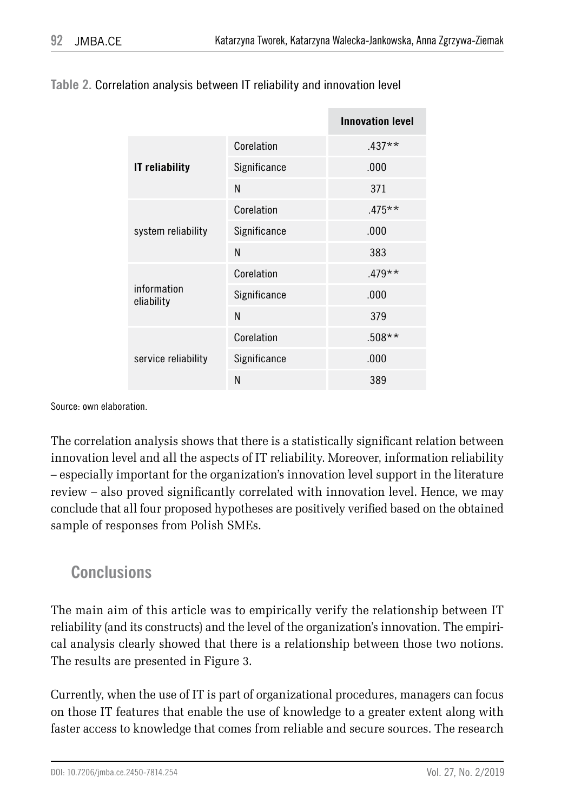|                           |              | <b>Innovation level</b> |  |
|---------------------------|--------------|-------------------------|--|
|                           | Corelation   | $.437**$                |  |
| <b>IT</b> reliability     | Significance | .000                    |  |
|                           | N            | 371                     |  |
| system reliability        | Corelation   | $.475***$               |  |
|                           | Significance | .000                    |  |
|                           | N            | 383                     |  |
|                           | Corelation   | $.479**$                |  |
| information<br>eliability | Significance | .000                    |  |
|                           | N            | 379                     |  |
|                           | Corelation   | $.508**$                |  |
| service reliability       | Significance | .000                    |  |
|                           | N            | 389                     |  |

#### **Table 2.** Correlation analysis between IT reliability and innovation level

Source: own elaboration.

The correlation analysis shows that there is a statistically significant relation between innovation level and all the aspects of IT reliability. Moreover, information reliability – especially important for the organization's innovation level support in the literature review – also proved significantly correlated with innovation level. Hence, we may conclude that all four proposed hypotheses are positively verified based on the obtained sample of responses from Polish SMEs.

### **Conclusions**

The main aim of this article was to empirically verify the relationship between IT reliability (and its constructs) and the level of the organization's innovation. The empirical analysis clearly showed that there is a relationship between those two notions. The results are presented in Figure 3.

Currently, when the use of IT is part of organizational procedures, managers can focus on those IT features that enable the use of knowledge to a greater extent along with faster access to knowledge that comes from reliable and secure sources. The research

DOI: 10.7206/jmba.ce.2450-7814.254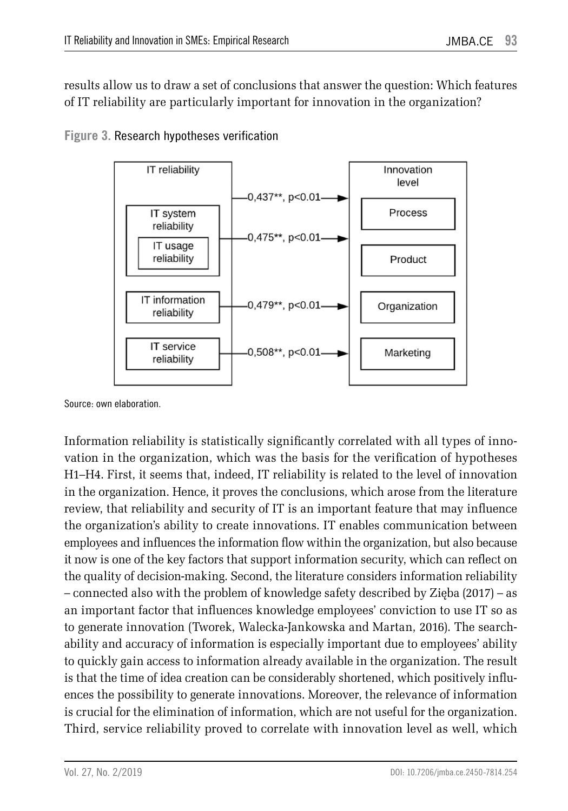results allow us to draw a set of conclusions that answer the question: Which features of IT reliability are particularly important for innovation in the organization?



**Figure 3.** Research hypotheses verification

Information reliability is statistically significantly correlated with all types of innovation in the organization, which was the basis for the verification of hypotheses H1–H4. First, it seems that, indeed, IT reliability is related to the level of innovation in the organization. Hence, it proves the conclusions, which arose from the literature review, that reliability and security of IT is an important feature that may influence the organization's ability to create innovations. IT enables communication between employees and influences the information flow within the organization, but also because it now is one of the key factors that support information security, which can reflect on the quality of decision-making. Second, the literature considers information reliability – connected also with the problem of knowledge safety described by Zięba (2017) – as an important factor that influences knowledge employees' conviction to use IT so as to generate innovation (Tworek, Walecka-Jankowska and Martan, 2016). The searchability and accuracy of information is especially important due to employees' ability to quickly gain access to information already available in the organization. The result is that the time of idea creation can be considerably shortened, which positively influences the possibility to generate innovations. Moreover, the relevance of information is crucial for the elimination of information, which are not useful for the organization. Third, service reliability proved to correlate with innovation level as well, which

Source: own elaboration.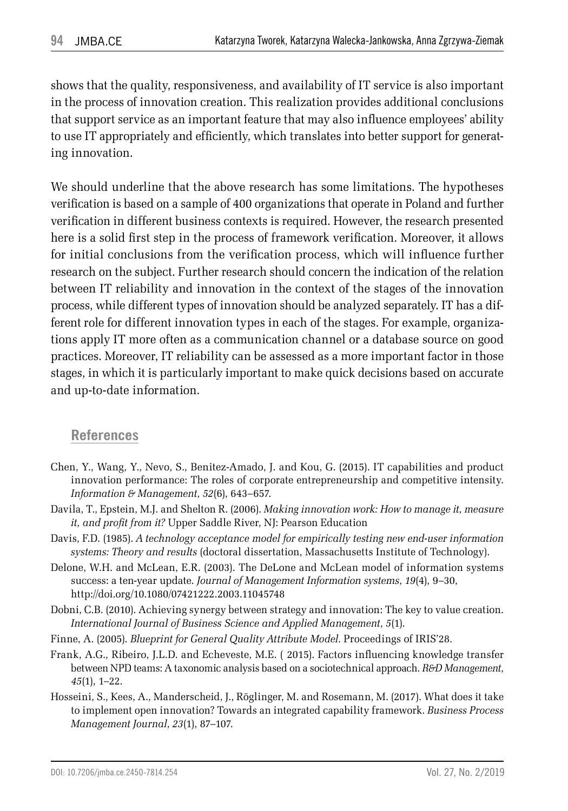shows that the quality, responsiveness, and availability of IT service is also important in the process of innovation creation. This realization provides additional conclusions that support service as an important feature that may also influence employees' ability to use IT appropriately and efficiently, which translates into better support for generating innovation.

We should underline that the above research has some limitations. The hypotheses verification is based on a sample of 400 organizations that operate in Poland and further verification in different business contexts is required. However, the research presented here is a solid first step in the process of framework verification. Moreover, it allows for initial conclusions from the verification process, which will influence further research on the subject. Further research should concern the indication of the relation between IT reliability and innovation in the context of the stages of the innovation process, while different types of innovation should be analyzed separately. IT has a different role for different innovation types in each of the stages. For example, organizations apply IT more often as a communication channel or a database source on good practices. Moreover, IT reliability can be assessed as a more important factor in those stages, in which it is particularly important to make quick decisions based on accurate and up-to-date information.

#### **References**

- Chen, Y., Wang, Y., Nevo, S., Benitez-Amado, J. and Kou, G. (2015). IT capabilities and product innovation performance: The roles of corporate entrepreneurship and competitive intensity. *Information & Management*, *52*(6), 643–657.
- Davila, T., Epstein, M.J. and Shelton R. (2006). *Making innovation work: How to manage it, measure it, and profit from it?* Upper Saddle River, NJ: Pearson Education
- Davis, F.D. (1985). *A technology acceptance model for empirically testing new end-user information systems: Theory and results* (doctoral dissertation, Massachusetts Institute of Technology).
- Delone, W.H. and McLean, E.R. (2003). The DeLone and McLean model of information systems success: a ten-year update. *Journal of Management Information systems*, *19*(4), 9–30, http://doi.org/10.1080/07421222.2003.11045748
- Dobni, C.B. (2010). Achieving synergy between strategy and innovation: The key to value creation. *International Journal of Business Science and Applied Management*, *5*(1).
- Finne, A. (2005). *Blueprint for General Quality Attribute Model*. Proceedings of IRIS'28.
- Frank, A.G., Ribeiro, J.L.D. and Echeveste, M.E. ( 2015). Factors influencing knowledge transfer between NPD teams: A taxonomic analysis based on a sociotechnical approach. *R&D Management*, *45*(1), 1–22.
- Hosseini, S., Kees, A., Manderscheid, J., Röglinger, M. and Rosemann, M. (2017). What does it take to implement open innovation? Towards an integrated capability framework. *Business Process Management Journal*, *23*(1), 87–107.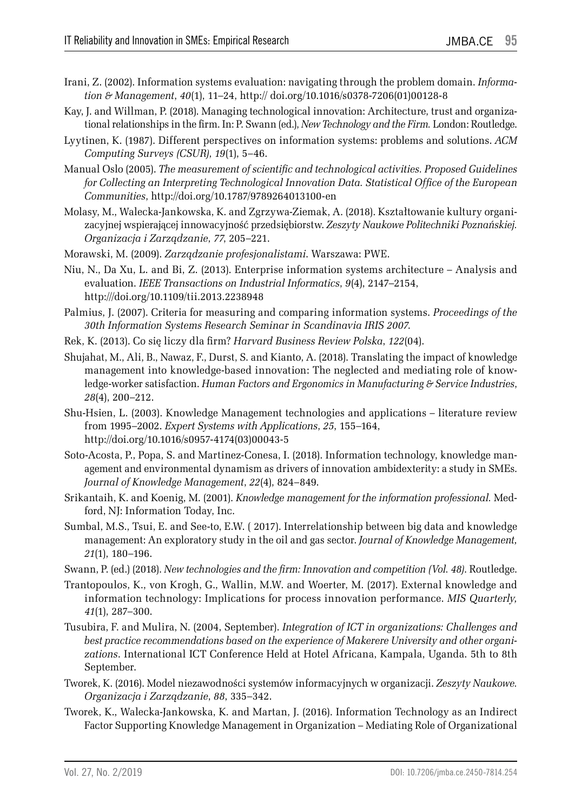- Irani, Z. (2002). Information systems evaluation: navigating through the problem domain. *Information & Management*, *40*(1), 11–24, http:// doi.org/10.1016/s0378-7206(01)00128-8
- Kay, J. and Willman, P. (2018). Managing technological innovation: Architecture, trust and organizational relationships in the firm. In: P. Swann (ed.), *New Technology and the Firm.* London: Routledge.
- Lyytinen, K. (1987). Different perspectives on information systems: problems and solutions. *ACM Computing Surveys (CSUR)*, *19*(1), 5–46.
- Manual Oslo (2005). *The measurement of scientific and technological activities. Proposed Guidelines for Collecting an Interpreting Technological Innovation Data. Statistical Office of the European Communities*, http://doi.org/10.1787/9789264013100-en
- Molasy, M., Walecka-Jankowska, K. and Zgrzywa-Ziemak, A. (2018). Kształtowanie kultury organizacyjnej wspierającej innowacyjność przedsiębiorstw. *Zeszyty Naukowe Politechniki Poznańskiej. Organizacja i Zarządzanie*, *77*, 205–221.
- Morawski, M. (2009). *Zarządzanie profesjonalistami*. Warszawa: PWE.
- Niu, N., Da Xu, L. and Bi, Z. (2013). Enterprise information systems architecture Analysis and evaluation. *IEEE Transactions on Industrial Informatics*, *9*(4), 2147–2154, http:///doi.org/10.1109/tii.2013.2238948
- Palmius, J. (2007). Criteria for measuring and comparing information systems. *Proceedings of the 30th Information Systems Research Seminar in Scandinavia IRIS 2007*.
- Rek, K. (2013). Co się liczy dla firm? *Harvard Business Review Polska*, *122*(04).
- Shujahat, M., Ali, B., Nawaz, F., Durst, S. and Kianto, A. (2018). Translating the impact of knowledge management into knowledge-based innovation: The neglected and mediating role of knowledge-worker satisfaction. *Human Factors and Ergonomics in Manufacturing & Service Industries*, *28*(4), 200–212.
- Shu-Hsien, L. (2003). Knowledge Management technologies and applications literature review from 1995–2002. *Expert Systems with Applications*, *25*, 155–164, http://doi.org/10.1016/s0957-4174(03)00043-5
- Soto-Acosta, P., Popa, S. and Martinez-Conesa, I. (2018). Information technology, knowledge management and environmental dynamism as drivers of innovation ambidexterity: a study in SMEs. *Journal of Knowledge Management*, *22*(4), 824–849.
- Srikantaih, K. and Koenig, M. (2001). *Knowledge management for the information professional.* Medford, NJ: Information Today, Inc.
- Sumbal, M.S., Tsui, E. and See-to, E.W. ( 2017). Interrelationship between big data and knowledge management: An exploratory study in the oil and gas sector. *Journal of Knowledge Management, 21*(1), 180–196.
- Swann, P. (ed.) (2018). *New technologies and the firm: Innovation and competition (Vol. 48)*. Routledge.
- Trantopoulos, K., von Krogh, G., Wallin, M.W. and Woerter, M. (2017). External knowledge and information technology: Implications for process innovation performance. *MIS Quarterly, 41*(1), 287–300.
- Tusubira, F. and Mulira, N. (2004, September). *Integration of ICT in organizations: Challenges and best practice recommendations based on the experience of Makerere University and other organizations*. International ICT Conference Held at Hotel Africana, Kampala, Uganda. 5th to 8th September.
- Tworek, K. (2016). Model niezawodności systemów informacyjnych w organizacji. *Zeszyty Naukowe. Organizacja i Zarządzanie*, *88*, 335–342.
- Tworek, K., Walecka-Jankowska, K. and Martan, J. (2016). Information Technology as an Indirect Factor Supporting Knowledge Management in Organization – Mediating Role of Organizational